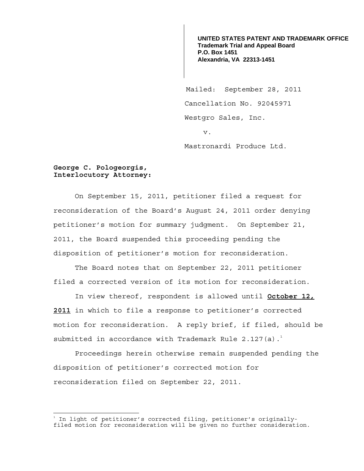**UNITED STATES PATENT AND TRADEMARK OFFICE Trademark Trial and Appeal Board P.O. Box 1451 Alexandria, VA 22313-1451**

 Mailed: September 28, 2011 Cancellation No. 92045971 Westgro Sales, Inc. v.

Mastronardi Produce Ltd.

## **George C. Pologeorgis, Interlocutory Attorney:**

 On September 15, 2011, petitioner filed a request for reconsideration of the Board's August 24, 2011 order denying petitioner's motion for summary judgment. On September 21, 2011, the Board suspended this proceeding pending the disposition of petitioner's motion for reconsideration.

The Board notes that on September 22, 2011 petitioner filed a corrected version of its motion for reconsideration.

In view thereof, respondent is allowed until **October 12, 2011** in which to file a response to petitioner's corrected motion for reconsideration. A reply brief, if filed, should be submitted in accordance with Trademark Rule  $2.127(a).$ <sup>1</sup>

Proceedings herein otherwise remain suspended pending the disposition of petitioner's corrected motion for reconsideration filed on September 22, 2011.

 $\frac{1}{1}$ In light of petitioner's corrected filing, petitioner's originally-

filed motion for reconsideration will be given no further consideration.